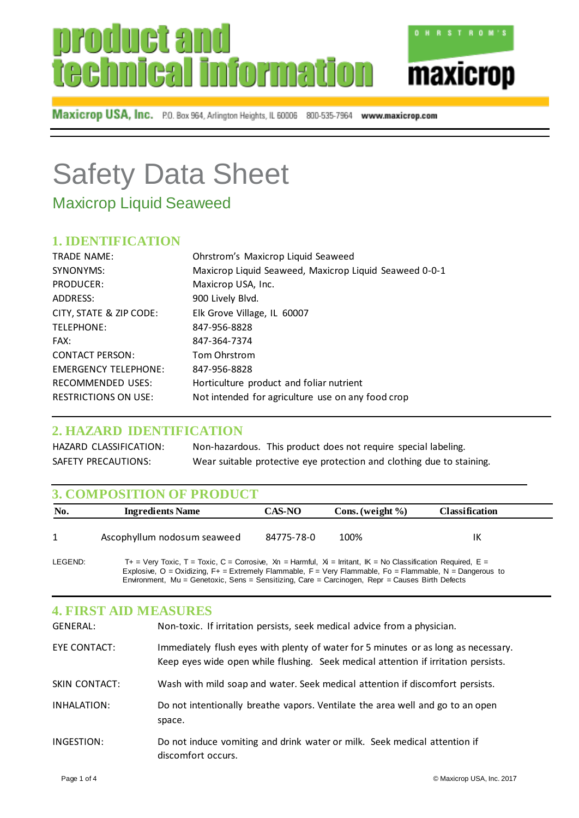# duet ar technical information



Maxicrop USA, Inc. P.O. Box 964, Arlington Heights, IL 60006 800-535-7964 www.maxicrop.com

## Safety Data Sheet

Maxicrop Liquid Seaweed

## **1. IDENTIFICATION**

| <b>TRADE NAME:</b>          | Ohrstrom's Maxicrop Liquid Seaweed                     |
|-----------------------------|--------------------------------------------------------|
| SYNONYMS:                   | Maxicrop Liquid Seaweed, Maxicrop Liquid Seaweed 0-0-1 |
| PRODUCER:                   | Maxicrop USA, Inc.                                     |
| ADDRESS:                    | 900 Lively Blvd.                                       |
| CITY, STATE & ZIP CODE:     | Elk Grove Village, IL 60007                            |
| TELEPHONE:                  | 847-956-8828                                           |
| FAX:                        | 847-364-7374                                           |
| <b>CONTACT PERSON:</b>      | Tom Ohrstrom                                           |
| <b>EMERGENCY TELEPHONE:</b> | 847-956-8828                                           |
| <b>RECOMMENDED USES:</b>    | Horticulture product and foliar nutrient               |
| <b>RESTRICTIONS ON USE:</b> | Not intended for agriculture use on any food crop      |

## **2. HAZARD IDENTIFICATION**

HAZARD CLASSIFICATION: Non-hazardous. This product does not require special labeling. SAFETY PRECAUTIONS: Wear suitable protective eye protection and clothing due to staining.

## **3. COMPOSITION OF PRODUCT**

| No. | <b>Ingredients Name</b>     | <b>CAS-NO</b> | Cons. (weight $\%$ ) | <b>Classification</b> |  |
|-----|-----------------------------|---------------|----------------------|-----------------------|--|
|     | Ascophyllum nodosum seaweed | 84775-78-0    | 100%                 | ΙK                    |  |

LEGEND: T+ = Very Toxic, T = Toxic, C = Corrosive, Xn = Harmful, X = Irritant, IK = No Classification Required, E = Explosive, O = Oxidizing, F+ = Extremely Flammable, F = Very Flammable, Fo = Flammable, N = Dangerous to Environment, Mu = Genetoxic, Sens = Sensitizing, Care = Carcinogen, Repr = Causes Birth Defects

| <b>4. FIRST AID MEASURES</b> |                                                                                                                                                                          |
|------------------------------|--------------------------------------------------------------------------------------------------------------------------------------------------------------------------|
| <b>GENERAL:</b>              | Non-toxic. If irritation persists, seek medical advice from a physician.                                                                                                 |
| EYE CONTACT:                 | Immediately flush eyes with plenty of water for 5 minutes or as long as necessary.<br>Keep eyes wide open while flushing. Seek medical attention if irritation persists. |
| <b>SKIN CONTACT:</b>         | Wash with mild soap and water. Seek medical attention if discomfort persists.                                                                                            |
| INHALATION:                  | Do not intentionally breathe vapors. Ventilate the area well and go to an open<br>space.                                                                                 |
| INGESTION:                   | Do not induce vomiting and drink water or milk. Seek medical attention if<br>discomfort occurs.                                                                          |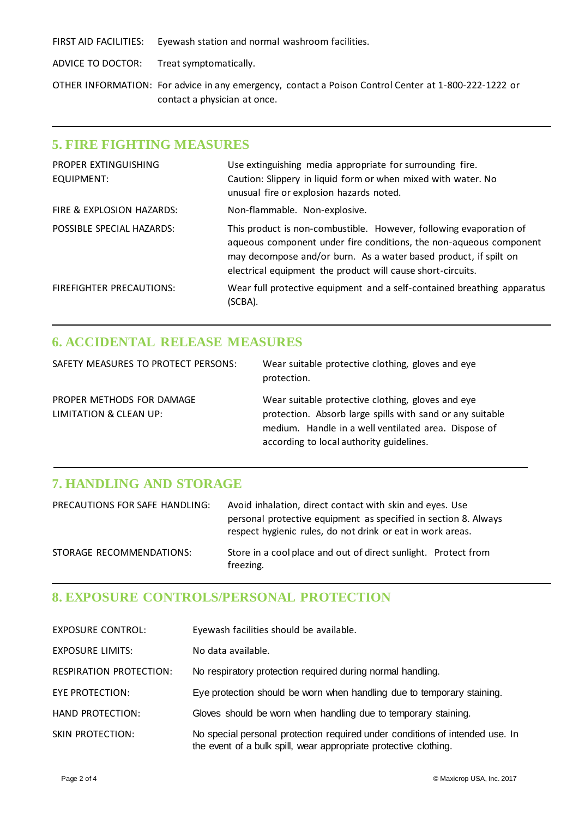FIRST AID FACILITIES: Eyewash station and normal washroom facilities.

ADVICE TO DOCTOR: Treat symptomatically.

OTHER INFORMATION: For advice in any emergency, contact a Poison Control Center at 1-800-222-1222 or contact a physician at once.

#### **5. FIRE FIGHTING MEASURES**

| PROPER EXTINGUISHING            | Use extinguishing media appropriate for surrounding fire.                                                                                                                                                                                                                   |
|---------------------------------|-----------------------------------------------------------------------------------------------------------------------------------------------------------------------------------------------------------------------------------------------------------------------------|
| EQUIPMENT:                      | Caution: Slippery in liquid form or when mixed with water. No                                                                                                                                                                                                               |
|                                 | unusual fire or explosion hazards noted.                                                                                                                                                                                                                                    |
| FIRE & EXPLOSION HAZARDS:       | Non-flammable. Non-explosive.                                                                                                                                                                                                                                               |
| POSSIBLE SPECIAL HAZARDS:       | This product is non-combustible. However, following evaporation of<br>aqueous component under fire conditions, the non-aqueous component<br>may decompose and/or burn. As a water based product, if spilt on<br>electrical equipment the product will cause short-circuits. |
| <b>FIREFIGHTER PRECAUTIONS:</b> | Wear full protective equipment and a self-contained breathing apparatus<br>(SCBA).                                                                                                                                                                                          |

## **6. ACCIDENTAL RELEASE MEASURES**

| SAFETY MEASURES TO PROTECT PERSONS:                            | Wear suitable protective clothing, gloves and eye<br>protection.                                                                                                                                                   |
|----------------------------------------------------------------|--------------------------------------------------------------------------------------------------------------------------------------------------------------------------------------------------------------------|
| PROPER METHODS FOR DAMAGE<br><b>LIMITATION &amp; CLEAN UP:</b> | Wear suitable protective clothing, gloves and eye<br>protection. Absorb large spills with sand or any suitable<br>medium. Handle in a well ventilated area. Dispose of<br>according to local authority guidelines. |

## **7. HANDLING AND STORAGE**

| PRECAUTIONS FOR SAFE HANDLING: | Avoid inhalation, direct contact with skin and eyes. Use<br>personal protective equipment as specified in section 8. Always<br>respect hygienic rules, do not drink or eat in work areas. |
|--------------------------------|-------------------------------------------------------------------------------------------------------------------------------------------------------------------------------------------|
| STORAGE RECOMMENDATIONS:       | Store in a cool place and out of direct sunlight. Protect from<br>freezing.                                                                                                               |

## **8. EXPOSURE CONTROLS/PERSONAL PROTECTION**

| <b>EXPOSURE CONTROL:</b> | Eyewash facilities should be available.                                                                                                          |
|--------------------------|--------------------------------------------------------------------------------------------------------------------------------------------------|
| <b>EXPOSURE LIMITS:</b>  | No data available.                                                                                                                               |
| RESPIRATION PROTECTION:  | No respiratory protection required during normal handling.                                                                                       |
| EYE PROTECTION:          | Eye protection should be worn when handling due to temporary staining.                                                                           |
| <b>HAND PROTECTION:</b>  | Gloves should be worn when handling due to temporary staining.                                                                                   |
| SKIN PROTECTION:         | No special personal protection required under conditions of intended use. In<br>the event of a bulk spill, wear appropriate protective clothing. |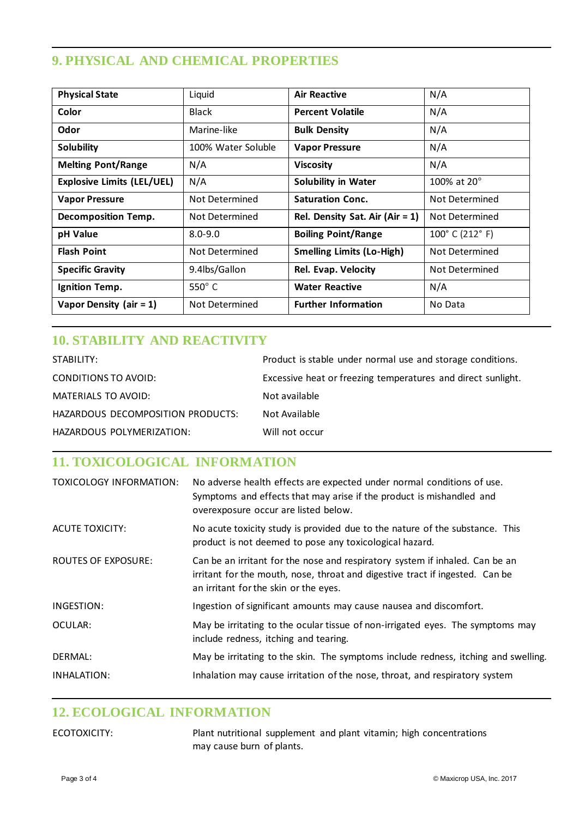## **9. PHYSICAL AND CHEMICAL PROPERTIES**

| <b>Physical State</b>             | Liquid             | <b>Air Reactive</b>                | N/A                                |
|-----------------------------------|--------------------|------------------------------------|------------------------------------|
| Color                             | <b>Black</b>       | <b>Percent Volatile</b>            | N/A                                |
| Odor                              | Marine-like        | <b>Bulk Density</b>                | N/A                                |
| <b>Solubility</b>                 | 100% Water Soluble | <b>Vapor Pressure</b>              | N/A                                |
| <b>Melting Pont/Range</b>         | N/A                | <b>Viscosity</b>                   | N/A                                |
| <b>Explosive Limits (LEL/UEL)</b> | N/A                | <b>Solubility in Water</b>         | 100% at $20^{\circ}$               |
| <b>Vapor Pressure</b>             | Not Determined     | <b>Saturation Conc.</b>            | Not Determined                     |
| <b>Decomposition Temp.</b>        | Not Determined     | Rel. Density Sat. Air (Air $= 1$ ) | Not Determined                     |
| pH Value                          | $8.0 - 9.0$        | <b>Boiling Point/Range</b>         | $100^{\circ}$ C (212 $^{\circ}$ F) |
| <b>Flash Point</b>                | Not Determined     | <b>Smelling Limits (Lo-High)</b>   | Not Determined                     |
| <b>Specific Gravity</b>           | 9.4lbs/Gallon      | Rel. Evap. Velocity                | Not Determined                     |
| Ignition Temp.                    | $550^\circ$ C      | <b>Water Reactive</b>              | N/A                                |
| Vapor Density (air $= 1$ )        | Not Determined     | <b>Further Information</b>         | No Data                            |

## **10. STABILITY AND REACTIVITY**

| STABILITY:                        | Product is stable under normal use and storage conditions.   |
|-----------------------------------|--------------------------------------------------------------|
| CONDITIONS TO AVOID:              | Excessive heat or freezing temperatures and direct sunlight. |
| MATERIALS TO AVOID:               | Not available                                                |
| HAZARDOUS DECOMPOSITION PRODUCTS: | Not Available                                                |
| HAZARDOUS POLYMERIZATION:         | Will not occur                                               |

## **11. TOXICOLOGICAL INFORMATION**

| <b>TOXICOLOGY INFORMATION:</b> | No adverse health effects are expected under normal conditions of use.<br>Symptoms and effects that may arise if the product is mishandled and<br>overexposure occur are listed below.                |
|--------------------------------|-------------------------------------------------------------------------------------------------------------------------------------------------------------------------------------------------------|
| <b>ACUTE TOXICITY:</b>         | No acute toxicity study is provided due to the nature of the substance. This<br>product is not deemed to pose any toxicological hazard.                                                               |
| <b>ROUTES OF EXPOSURE:</b>     | Can be an irritant for the nose and respiratory system if inhaled. Can be an<br>irritant for the mouth, nose, throat and digestive tract if ingested. Can be<br>an irritant for the skin or the eyes. |
| INGESTION:                     | Ingestion of significant amounts may cause nausea and discomfort.                                                                                                                                     |
| OCULAR:                        | May be irritating to the ocular tissue of non-irrigated eyes. The symptoms may<br>include redness, itching and tearing.                                                                               |
| DERMAL:                        | May be irritating to the skin. The symptoms include redness, itching and swelling.                                                                                                                    |
| INHALATION:                    | Inhalation may cause irritation of the nose, throat, and respiratory system                                                                                                                           |

## **12. ECOLOGICAL INFORMATION**

ECOTOXICITY: Plant nutritional supplement and plant vitamin; high concentrations may cause burn of plants.